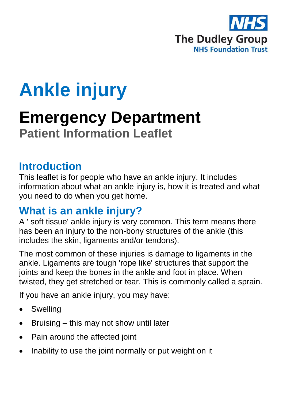

# **Ankle injury**

# **Emergency Department Patient Information Leaflet**

#### **Introduction**

This leaflet is for people who have an ankle injury. It includes information about what an ankle injury is, how it is treated and what you need to do when you get home.

### **What is an ankle injury?**

A ' soft tissue' ankle injury is very common. This term means there has been an injury to the non-bony structures of the ankle (this includes the skin, ligaments and/or tendons).

The most common of these injuries is damage to ligaments in the ankle. Ligaments are tough 'rope like' structures that support the joints and keep the bones in the ankle and foot in place. When twisted, they get stretched or tear. This is commonly called a sprain.

If you have an ankle injury, you may have:

- **Swelling**
- Bruising this may not show until later
- Pain around the affected joint
- Inability to use the joint normally or put weight on it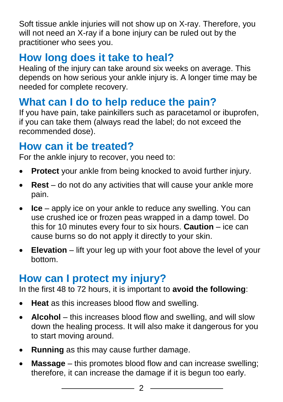Soft tissue ankle injuries will not show up on X-ray. Therefore, you will not need an X-ray if a bone injury can be ruled out by the practitioner who sees you.

# **How long does it take to heal?**

Healing of the injury can take around six weeks on average. This depends on how serious your ankle injury is. A longer time may be needed for complete recovery.

# **What can I do to help reduce the pain?**

If you have pain, take painkillers such as paracetamol or ibuprofen, if you can take them (always read the label; do not exceed the recommended dose).

# **How can it be treated?**

For the ankle injury to recover, you need to:

- **Protect** your ankle from being knocked to avoid further injury.
- **Rest** do not do any activities that will cause your ankle more pain.
- **Ice** apply ice on your ankle to reduce any swelling. You can use crushed ice or frozen peas wrapped in a damp towel. Do this for 10 minutes every four to six hours. **Caution** – ice can cause burns so do not apply it directly to your skin.
- **Elevation** lift your leg up with your foot above the level of your bottom.

# **How can I protect my injury?**

In the first 48 to 72 hours, it is important to **avoid the following**:

- **Heat** as this increases blood flow and swelling.
- **Alcohol** this increases blood flow and swelling, and will slow down the healing process. It will also make it dangerous for you to start moving around.
- **Running** as this may cause further damage.
- **Massage** this promotes blood flow and can increase swelling; therefore, it can increase the damage if it is begun too early.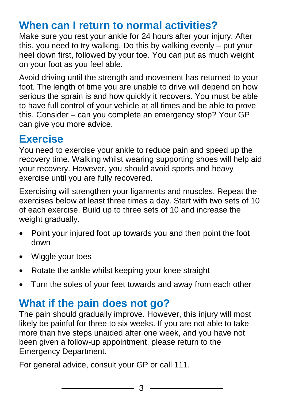# **When can I return to normal activities?**

Make sure you rest your ankle for 24 hours after your injury. After this, you need to try walking. Do this by walking evenly – put your heel down first, followed by your toe. You can put as much weight on your foot as you feel able.

Avoid driving until the strength and movement has returned to your foot. The length of time you are unable to drive will depend on how serious the sprain is and how quickly it recovers. You must be able to have full control of your vehicle at all times and be able to prove this. Consider – can you complete an emergency stop? Your GP can give you more advice.

# **Exercise**

You need to exercise your ankle to reduce pain and speed up the recovery time. Walking whilst wearing supporting shoes will help aid your recovery. However, you should avoid sports and heavy exercise until you are fully recovered.

Exercising will strengthen your ligaments and muscles. Repeat the exercises below at least three times a day. Start with two sets of 10 of each exercise. Build up to three sets of 10 and increase the weight gradually.

- Point your injured foot up towards you and then point the foot down
- Wiggle your toes
- Rotate the ankle whilst keeping your knee straight
- Turn the soles of your feet towards and away from each other

# **What if the pain does not go?**

The pain should gradually improve. However, this injury will most likely be painful for three to six weeks. If you are not able to take more than five steps unaided after one week, and you have not been given a follow-up appointment, please return to the Emergency Department.

For general advice, consult your GP or call 111.